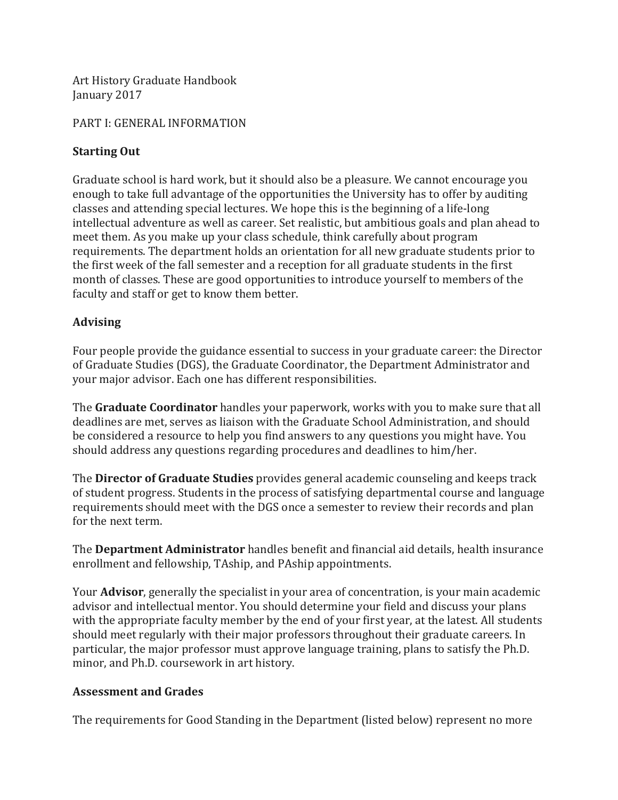Art History Graduate Handbook January 2017

#### PART I: GENERAL INFORMATION

### **Starting Out**

Graduate school is hard work, but it should also be a pleasure. We cannot encourage you enough to take full advantage of the opportunities the University has to offer by auditing classes and attending special lectures. We hope this is the beginning of a life-long intellectual adventure as well as career. Set realistic, but ambitious goals and plan ahead to meet them. As you make up your class schedule, think carefully about program requirements. The department holds an orientation for all new graduate students prior to the first week of the fall semester and a reception for all graduate students in the first month of classes. These are good opportunities to introduce yourself to members of the faculty and staff or get to know them better.

# **Advising**

Four people provide the guidance essential to success in your graduate career: the Director of Graduate Studies (DGS), the Graduate Coordinator, the Department Administrator and your major advisor. Each one has different responsibilities.

The **Graduate Coordinator** handles your paperwork, works with you to make sure that all deadlines are met, serves as liaison with the Graduate School Administration, and should be considered a resource to help you find answers to any questions you might have. You should address any questions regarding procedures and deadlines to him/her.

The **Director of Graduate Studies** provides general academic counseling and keeps track of student progress. Students in the process of satisfying departmental course and language requirements should meet with the DGS once a semester to review their records and plan for the next term.

The **Department Administrator** handles benefit and financial aid details, health insurance enrollment and fellowship, TAship, and PAship appointments.

Your **Advisor**, generally the specialist in your area of concentration, is your main academic advisor and intellectual mentor. You should determine your field and discuss your plans with the appropriate faculty member by the end of your first year, at the latest. All students should meet regularly with their major professors throughout their graduate careers. In particular, the major professor must approve language training, plans to satisfy the Ph.D. minor, and Ph.D. coursework in art history.

# **Assessment and Grades**

The requirements for Good Standing in the Department (listed below) represent no more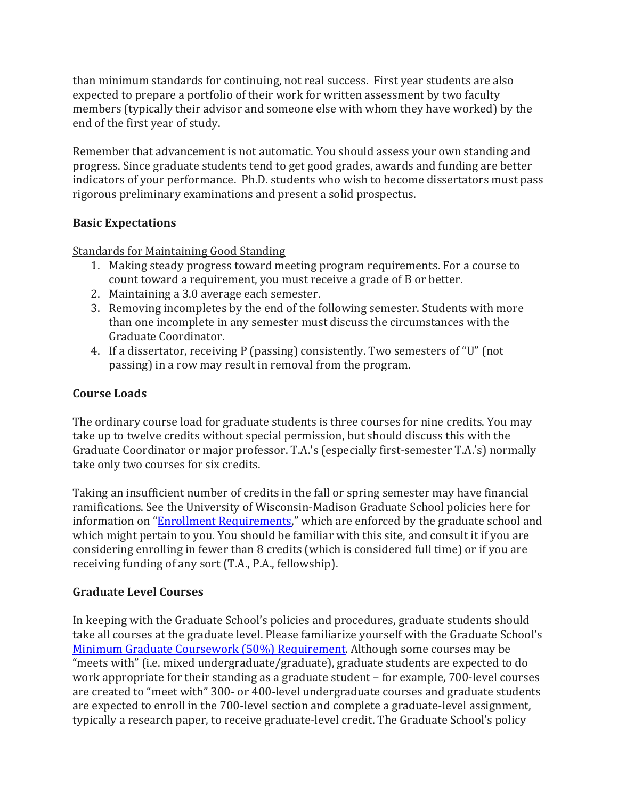than minimum standards for continuing, not real success. First year students are also expected to prepare a portfolio of their work for written assessment by two faculty members (typically their advisor and someone else with whom they have worked) by the end of the first year of study.

Remember that advancement is not automatic. You should assess your own standing and progress. Since graduate students tend to get good grades, awards and funding are better indicators of your performance. Ph.D. students who wish to become dissertators must pass rigorous preliminary examinations and present a solid prospectus.

### **Basic Expectations**

Standards for Maintaining Good Standing

- 1. Making steady progress toward meeting program requirements. For a course to count toward a requirement, you must receive a grade of B or better.
- 2. Maintaining a 3.0 average each semester.
- 3. Removing incompletes by the end of the following semester. Students with more than one incomplete in any semester must discuss the circumstances with the Graduate Coordinator.
- 4. If a dissertator, receiving P (passing) consistently. Two semesters of "U" (not passing) in a row may result in removal from the program.

# **Course Loads**

The ordinary course load for graduate students is three courses for nine credits. You may take up to twelve credits without special permission, but should discuss this with the Graduate Coordinator or major professor. T.A.'s (especially first-semester T.A.'s) normally take only two courses for six credits.

Taking an insufficient number of credits in the fall or spring semester may have financial ramifications. See the University of Wisconsin-Madison Graduate School policies here for information on "Enrollment Requirements," which are enforced by the graduate school and which might pertain to you. You should be familiar with this site, and consult it if you are considering enrolling in fewer than 8 credits (which is considered full time) or if you are receiving funding of any sort (T.A., P.A., fellowship).

#### **Graduate Level Courses**

In keeping with the Graduate School's policies and procedures, graduate students should take all courses at the graduate level. Please familiarize yourself with the Graduate School's Minimum Graduate Coursework (50%) Requirement. Although some courses may be "meets with" (i.e. mixed undergraduate/graduate), graduate students are expected to do work appropriate for their standing as a graduate student – for example, 700-level courses are created to "meet with" 300- or 400-level undergraduate courses and graduate students are expected to enroll in the 700-level section and complete a graduate-level assignment, typically a research paper, to receive graduate-level credit. The Graduate School's policy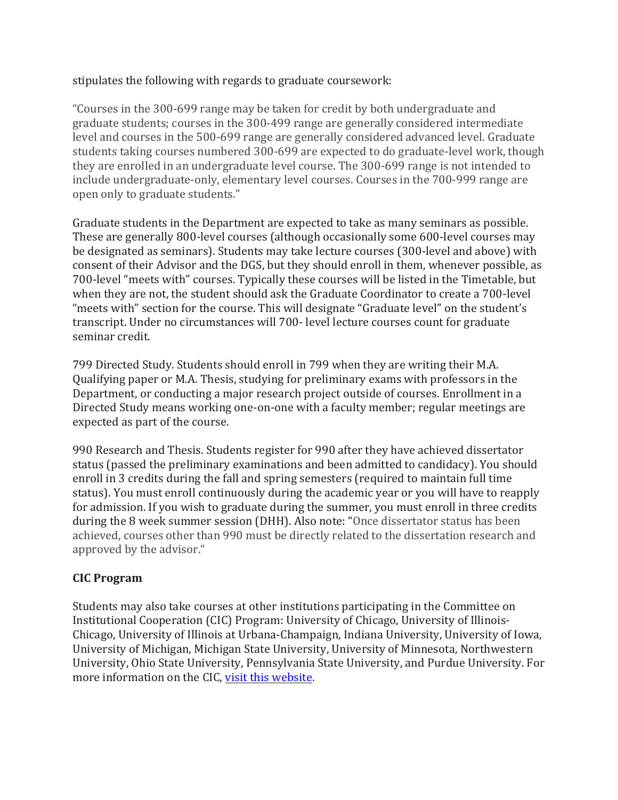### stipulates the following with regards to graduate coursework:

"Courses in the 300-699 range may be taken for credit by both undergraduate and graduate students; courses in the 300-499 range are generally considered intermediate level and courses in the 500-699 range are generally considered advanced level. Graduate students taking courses numbered 300-699 are expected to do graduate-level work, though they are enrolled in an undergraduate level course. The 300-699 range is not intended to include undergraduate-only, elementary level courses. Courses in the 700-999 range are open only to graduate students."

Graduate students in the Department are expected to take as many seminars as possible. These are generally 800-level courses (although occasionally some 600-level courses may be designated as seminars). Students may take lecture courses (300-level and above) with consent of their Advisor and the DGS, but they should enroll in them, whenever possible, as 700-level "meets with" courses. Typically these courses will be listed in the Timetable, but when they are not, the student should ask the Graduate Coordinator to create a 700-level "meets with" section for the course. This will designate "Graduate level" on the student's transcript. Under no circumstances will 700- level lecture courses count for graduate seminar credit.

799 Directed Study. Students should enroll in 799 when they are writing their M.A. Qualifying paper or M.A. Thesis, studying for preliminary exams with professors in the Department, or conducting a major research project outside of courses. Enrollment in a Directed Study means working one-on-one with a faculty member; regular meetings are expected as part of the course.

990 Research and Thesis. Students register for 990 after they have achieved dissertator status (passed the preliminary examinations and been admitted to candidacy). You should enroll in 3 credits during the fall and spring semesters (required to maintain full time status). You must enroll continuously during the academic year or you will have to reapply for admission. If you wish to graduate during the summer, you must enroll in three credits during the 8 week summer session (DHH). Also note: "Once dissertator status has been achieved, courses other than 990 must be directly related to the dissertation research and approved by the advisor."

# **CIC Program**

Students may also take courses at other institutions participating in the Committee on Institutional Cooperation (CIC) Program: University of Chicago, University of Illinois-Chicago, University of Illinois at Urbana-Champaign, Indiana University, University of Iowa, University of Michigan, Michigan State University, University of Minnesota, Northwestern University, Ohio State University, Pennsylvania State University, and Purdue University. For more information on the CIC, visit this website.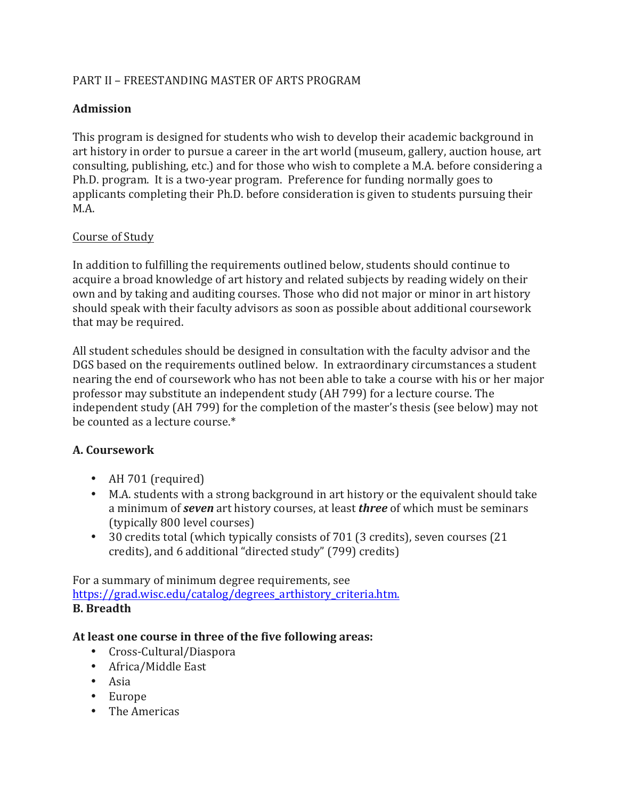# PART II – FREESTANDING MASTER OF ARTS PROGRAM

# **Admission**

This program is designed for students who wish to develop their academic background in art history in order to pursue a career in the art world (museum, gallery, auction house, art consulting, publishing, etc.) and for those who wish to complete a M.A. before considering a Ph.D. program. It is a two-year program. Preference for funding normally goes to applicants completing their Ph.D. before consideration is given to students pursuing their M.A.

### Course of Study

In addition to fulfilling the requirements outlined below, students should continue to acquire a broad knowledge of art history and related subjects by reading widely on their own and by taking and auditing courses. Those who did not major or minor in art history should speak with their faculty advisors as soon as possible about additional coursework that may be required.

All student schedules should be designed in consultation with the faculty advisor and the DGS based on the requirements outlined below. In extraordinary circumstances a student nearing the end of coursework who has not been able to take a course with his or her major professor may substitute an independent study (AH 799) for a lecture course. The independent study (AH 799) for the completion of the master's thesis (see below) may not be counted as a lecture course. $*$ 

# **A. Coursework**

- AH 701 (required)
- M.A. students with a strong background in art history or the equivalent should take a minimum of *seven* art history courses, at least *three* of which must be seminars (typically 800 level courses)
- 30 credits total (which typically consists of 701 (3 credits), seven courses (21) credits), and 6 additional "directed study" (799) credits)

For a summary of minimum degree requirements, see https://grad.wisc.edu/catalog/degrees\_arthistory\_criteria.htm. **B.** Breadth

#### At least one course in three of the five following areas:

- Cross-Cultural/Diaspora
- Africa/Middle East
- Asia
- Europe
- The Americas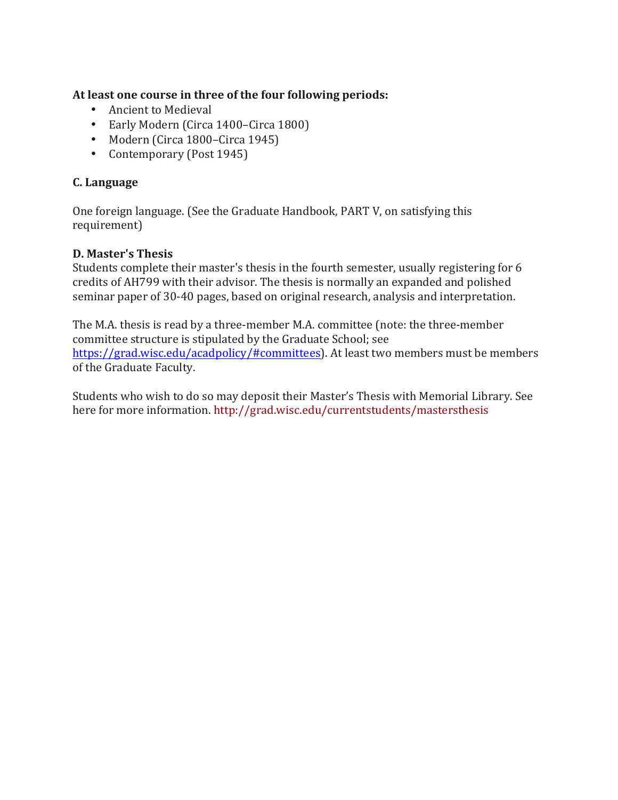At least one course in three of the four following periods:

- Ancient to Medieval
- Early Modern (Circa 1400–Circa 1800)
- Modern (Circa 1800–Circa 1945)
- Contemporary (Post 1945)

# **C. Language**

One foreign language. (See the Graduate Handbook, PART V, on satisfying this requirement)

# **D. Master's Thesis**

Students complete their master's thesis in the fourth semester, usually registering for 6 credits of AH799 with their advisor. The thesis is normally an expanded and polished seminar paper of 30-40 pages, based on original research, analysis and interpretation.

The M.A. thesis is read by a three-member M.A. committee (note: the three-member committee structure is stipulated by the Graduate School; see https://grad.wisc.edu/acadpolicy/#committees). At least two members must be members of the Graduate Faculty.

Students who wish to do so may deposit their Master's Thesis with Memorial Library. See here for more information. http://grad.wisc.edu/currentstudents/mastersthesis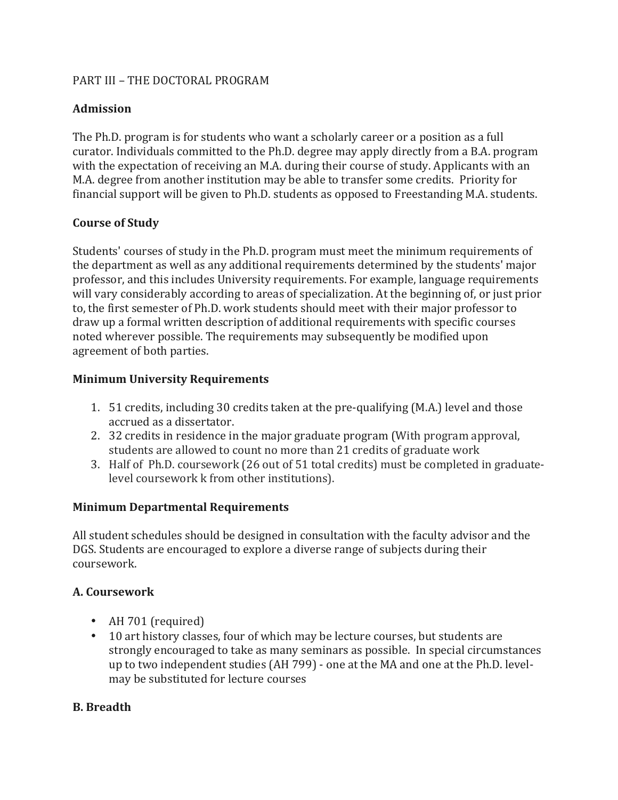### PART III - THE DOCTORAL PROGRAM

# **Admission**

The Ph.D. program is for students who want a scholarly career or a position as a full curator. Individuals committed to the Ph.D. degree may apply directly from a B.A. program with the expectation of receiving an M.A. during their course of study. Applicants with an M.A. degree from another institution may be able to transfer some credits. Priority for financial support will be given to Ph.D. students as opposed to Freestanding M.A. students.

### **Course of Study**

Students' courses of study in the Ph.D. program must meet the minimum requirements of the department as well as any additional requirements determined by the students' major professor, and this includes University requirements. For example, language requirements will vary considerably according to areas of specialization. At the beginning of, or just prior to, the first semester of Ph.D. work students should meet with their major professor to draw up a formal written description of additional requirements with specific courses noted wherever possible. The requirements may subsequently be modified upon agreement of both parties.

### **Minimum University Requirements**

- 1. 51 credits, including 30 credits taken at the pre-qualifying (M.A.) level and those accrued as a dissertator.
- 2. 32 credits in residence in the major graduate program (With program approval, students are allowed to count no more than 21 credits of graduate work
- 3. Half of Ph.D. coursework (26 out of 51 total credits) must be completed in graduatelevel coursework k from other institutions).

#### **Minimum Departmental Requirements**

All student schedules should be designed in consultation with the faculty advisor and the DGS. Students are encouraged to explore a diverse range of subjects during their coursework.

# **A. Coursework**

- AH 701 (required)
- 10 art history classes, four of which may be lecture courses, but students are strongly encouraged to take as many seminars as possible. In special circumstances up to two independent studies (AH 799) - one at the MA and one at the Ph.D. levelmay be substituted for lecture courses

# **B. Breadth**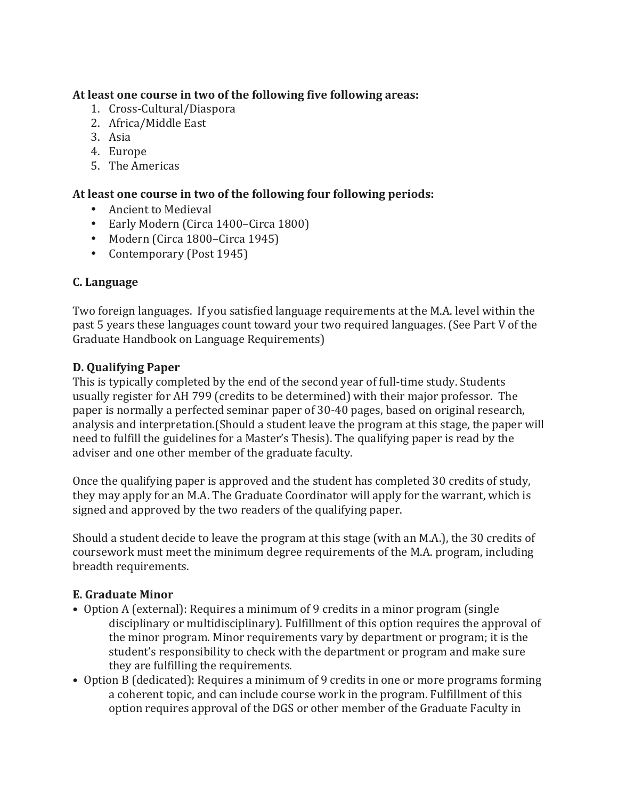### At least one course in two of the following five following areas:

- 1. Cross-Cultural/Diaspora
- 2. Africa/Middle East
- 3. Asia
- 4. Europe
- 5. The Americas

### At least one course in two of the following four following periods:

- Ancient to Medieval
- Early Modern (Circa 1400–Circa 1800)
- Modern (Circa 1800–Circa 1945)
- Contemporary (Post 1945)

### **C. Language**

Two foreign languages. If you satisfied language requirements at the M.A. level within the past 5 years these languages count toward your two required languages. (See Part V of the Graduate Handbook on Language Requirements)

#### **D. Qualifying Paper**

This is typically completed by the end of the second year of full-time study. Students usually register for AH 799 (credits to be determined) with their major professor. The paper is normally a perfected seminar paper of 30-40 pages, based on original research, analysis and interpretation. (Should a student leave the program at this stage, the paper will need to fulfill the guidelines for a Master's Thesis). The qualifying paper is read by the adviser and one other member of the graduate faculty.

Once the qualifying paper is approved and the student has completed 30 credits of study, they may apply for an M.A. The Graduate Coordinator will apply for the warrant, which is signed and approved by the two readers of the qualifying paper.

Should a student decide to leave the program at this stage (with an M.A.), the 30 credits of coursework must meet the minimum degree requirements of the M.A. program, including breadth requirements.

#### **E. Graduate Minor**

- Option A (external): Requires a minimum of 9 credits in a minor program (single disciplinary or multidisciplinary). Fulfillment of this option requires the approval of the minor program. Minor requirements vary by department or program; it is the student's responsibility to check with the department or program and make sure they are fulfilling the requirements.
- Option B (dedicated): Requires a minimum of 9 credits in one or more programs forming a coherent topic, and can include course work in the program. Fulfillment of this option requires approval of the DGS or other member of the Graduate Faculty in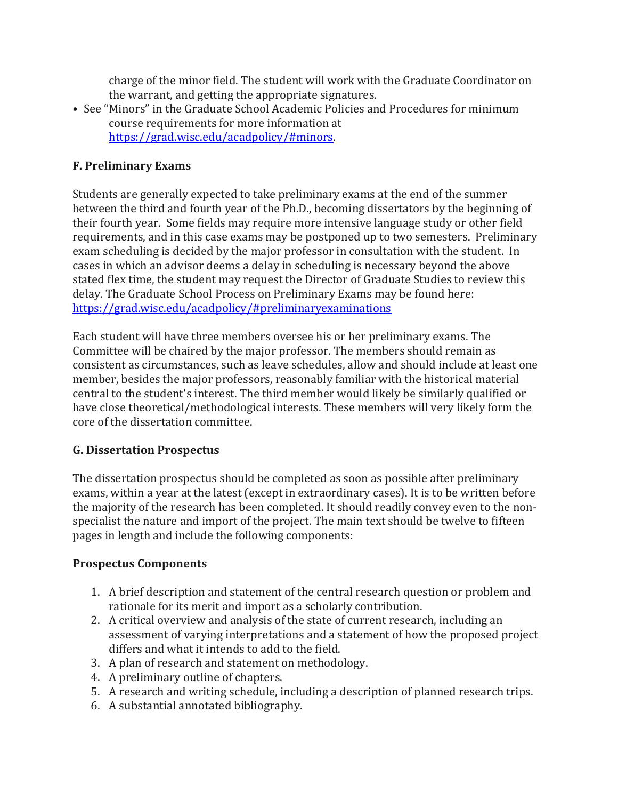charge of the minor field. The student will work with the Graduate Coordinator on the warrant, and getting the appropriate signatures.

• See "Minors" in the Graduate School Academic Policies and Procedures for minimum course requirements for more information at https://grad.wisc.edu/acadpolicy/#minors. 

### **F. Preliminary Exams**

Students are generally expected to take preliminary exams at the end of the summer between the third and fourth year of the Ph.D., becoming dissertators by the beginning of their fourth year. Some fields may require more intensive language study or other field requirements, and in this case exams may be postponed up to two semesters. Preliminary exam scheduling is decided by the major professor in consultation with the student. In cases in which an advisor deems a delay in scheduling is necessary beyond the above stated flex time, the student may request the Director of Graduate Studies to review this delay. The Graduate School Process on Preliminary Exams may be found here: https://grad.wisc.edu/acadpolicy/#preliminaryexaminations

Each student will have three members oversee his or her preliminary exams. The Committee will be chaired by the major professor. The members should remain as consistent as circumstances, such as leave schedules, allow and should include at least one member, besides the major professors, reasonably familiar with the historical material central to the student's interest. The third member would likely be similarly qualified or have close theoretical/methodological interests. These members will very likely form the core of the dissertation committee.

#### **G. Dissertation Prospectus**

The dissertation prospectus should be completed as soon as possible after preliminary exams, within a year at the latest (except in extraordinary cases). It is to be written before the majority of the research has been completed. It should readily convey even to the nonspecialist the nature and import of the project. The main text should be twelve to fifteen pages in length and include the following components:

# **Prospectus Components**

- 1. A brief description and statement of the central research question or problem and rationale for its merit and import as a scholarly contribution.
- 2. A critical overview and analysis of the state of current research, including an assessment of varying interpretations and a statement of how the proposed project differs and what it intends to add to the field.
- 3. A plan of research and statement on methodology.
- 4. A preliminary outline of chapters.
- 5. A research and writing schedule, including a description of planned research trips.
- 6. A substantial annotated bibliography.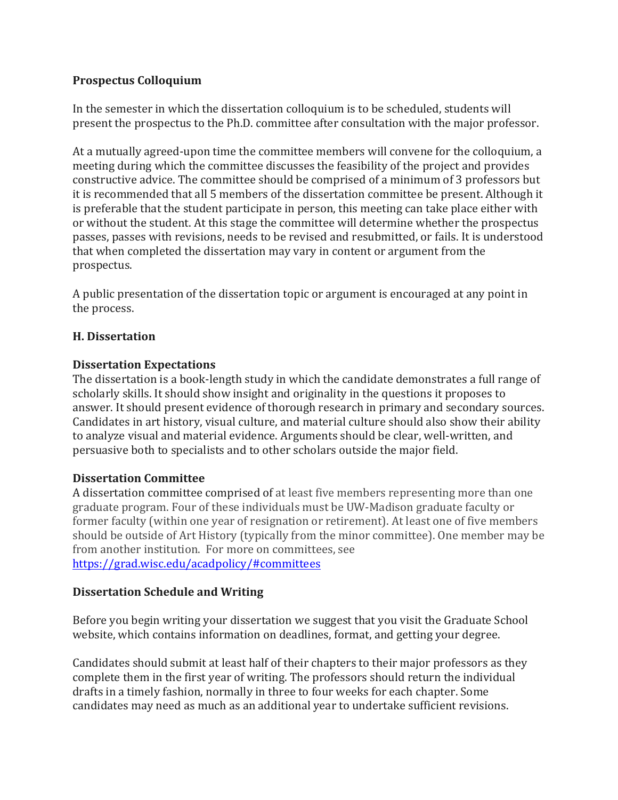### **Prospectus Colloquium**

In the semester in which the dissertation colloquium is to be scheduled, students will present the prospectus to the Ph.D. committee after consultation with the major professor.

At a mutually agreed-upon time the committee members will convene for the colloquium, a meeting during which the committee discusses the feasibility of the project and provides constructive advice. The committee should be comprised of a minimum of 3 professors but it is recommended that all 5 members of the dissertation committee be present. Although it is preferable that the student participate in person, this meeting can take place either with or without the student. At this stage the committee will determine whether the prospectus passes, passes with revisions, needs to be revised and resubmitted, or fails. It is understood that when completed the dissertation may vary in content or argument from the prospectus.

A public presentation of the dissertation topic or argument is encouraged at any point in the process.

### **H. Dissertation**

#### **Dissertation Expectations**

The dissertation is a book-length study in which the candidate demonstrates a full range of scholarly skills. It should show insight and originality in the questions it proposes to answer. It should present evidence of thorough research in primary and secondary sources. Candidates in art history, visual culture, and material culture should also show their ability to analyze visual and material evidence. Arguments should be clear, well-written, and persuasive both to specialists and to other scholars outside the major field.

#### **Dissertation Committee**

A dissertation committee comprised of at least five members representing more than one graduate program. Four of these individuals must be UW-Madison graduate faculty or former faculty (within one year of resignation or retirement). At least one of five members should be outside of Art History (typically from the minor committee). One member may be from another institution. For more on committees, see https://grad.wisc.edu/acadpolicy/#committees

#### **Dissertation Schedule and Writing**

Before you begin writing your dissertation we suggest that you visit the Graduate School website, which contains information on deadlines, format, and getting your degree.

Candidates should submit at least half of their chapters to their major professors as they complete them in the first year of writing. The professors should return the individual drafts in a timely fashion, normally in three to four weeks for each chapter. Some candidates may need as much as an additional year to undertake sufficient revisions.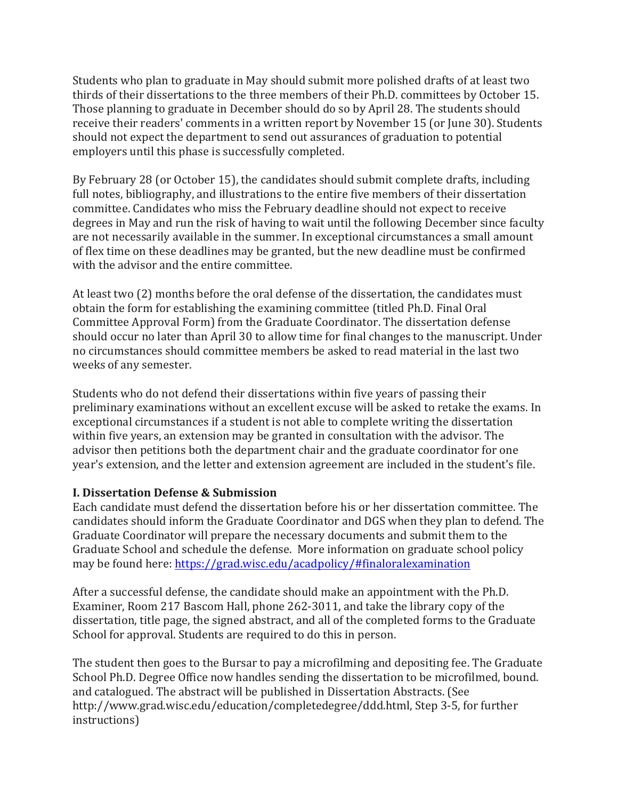Students who plan to graduate in May should submit more polished drafts of at least two thirds of their dissertations to the three members of their Ph.D. committees by October 15. Those planning to graduate in December should do so by April 28. The students should receive their readers' comments in a written report by November 15 (or June 30). Students should not expect the department to send out assurances of graduation to potential employers until this phase is successfully completed.

By February 28 (or October 15), the candidates should submit complete drafts, including full notes, bibliography, and illustrations to the entire five members of their dissertation committee. Candidates who miss the February deadline should not expect to receive degrees in May and run the risk of having to wait until the following December since faculty are not necessarily available in the summer. In exceptional circumstances a small amount of flex time on these deadlines may be granted, but the new deadline must be confirmed with the advisor and the entire committee.

At least two (2) months before the oral defense of the dissertation, the candidates must obtain the form for establishing the examining committee (titled Ph.D. Final Oral Committee Approval Form) from the Graduate Coordinator. The dissertation defense should occur no later than April 30 to allow time for final changes to the manuscript. Under no circumstances should committee members be asked to read material in the last two weeks of any semester.

Students who do not defend their dissertations within five years of passing their preliminary examinations without an excellent excuse will be asked to retake the exams. In exceptional circumstances if a student is not able to complete writing the dissertation within five years, an extension may be granted in consultation with the advisor. The advisor then petitions both the department chair and the graduate coordinator for one year's extension, and the letter and extension agreement are included in the student's file.

#### **I. Dissertation Defense & Submission**

Each candidate must defend the dissertation before his or her dissertation committee. The candidates should inform the Graduate Coordinator and DGS when they plan to defend. The Graduate Coordinator will prepare the necessary documents and submit them to the Graduate School and schedule the defense. More information on graduate school policy may be found here: https://grad.wisc.edu/acadpolicy/#finaloralexamination

After a successful defense, the candidate should make an appointment with the Ph.D. Examiner, Room 217 Bascom Hall, phone 262-3011, and take the library copy of the dissertation, title page, the signed abstract, and all of the completed forms to the Graduate School for approval. Students are required to do this in person.

The student then goes to the Bursar to pay a microfilming and depositing fee. The Graduate School Ph.D. Degree Office now handles sending the dissertation to be microfilmed, bound. and catalogued. The abstract will be published in Dissertation Abstracts. (See http://www.grad.wisc.edu/education/completedegree/ddd.html, Step 3-5, for further instructions)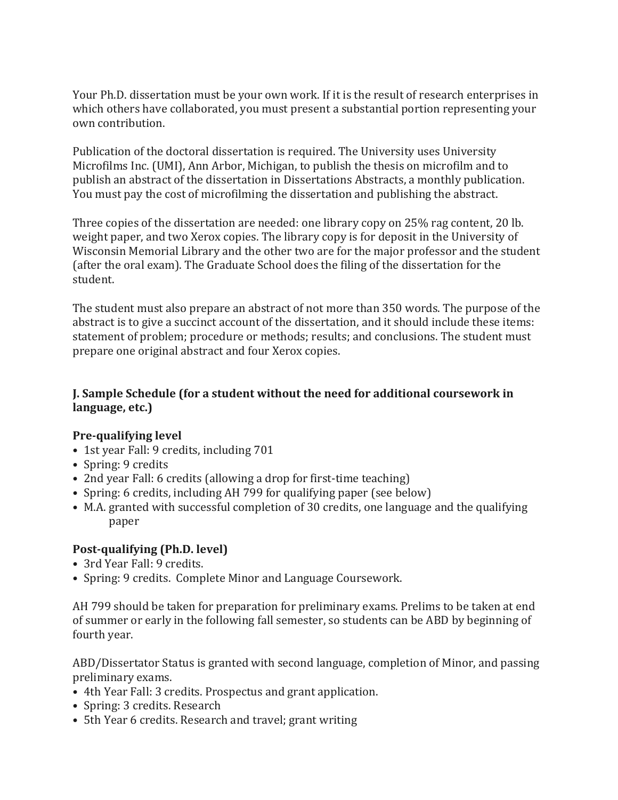Your Ph.D. dissertation must be your own work. If it is the result of research enterprises in which others have collaborated, you must present a substantial portion representing your own contribution.

Publication of the doctoral dissertation is required. The University uses University Microfilms Inc. (UMI), Ann Arbor, Michigan, to publish the thesis on microfilm and to publish an abstract of the dissertation in Dissertations Abstracts, a monthly publication. You must pay the cost of microfilming the dissertation and publishing the abstract.

Three copies of the dissertation are needed: one library copy on  $25\%$  rag content, 20 lb. weight paper, and two Xerox copies. The library copy is for deposit in the University of Wisconsin Memorial Library and the other two are for the major professor and the student (after the oral exam). The Graduate School does the filing of the dissertation for the student.

The student must also prepare an abstract of not more than 350 words. The purpose of the abstract is to give a succinct account of the dissertation, and it should include these items: statement of problem; procedure or methods; results; and conclusions. The student must prepare one original abstract and four Xerox copies.

### **J. Sample Schedule (for a student without the need for additional coursework in language, etc.)**

#### **Pre-qualifying level**

- 1st year Fall: 9 credits, including 701
- Spring: 9 credits
- 2nd year Fall: 6 credits (allowing a drop for first-time teaching)
- Spring: 6 credits, including AH 799 for qualifying paper (see below)
- M.A. granted with successful completion of 30 credits, one language and the qualifying paper

# **Post-qualifying (Ph.D. level)**

- 3rd Year Fall: 9 credits.
- Spring: 9 credits. Complete Minor and Language Coursework.

AH 799 should be taken for preparation for preliminary exams. Prelims to be taken at end of summer or early in the following fall semester, so students can be ABD by beginning of fourth year.

ABD/Dissertator Status is granted with second language, completion of Minor, and passing preliminary exams.

- 4th Year Fall: 3 credits. Prospectus and grant application.
- Spring: 3 credits. Research
- 5th Year 6 credits. Research and travel; grant writing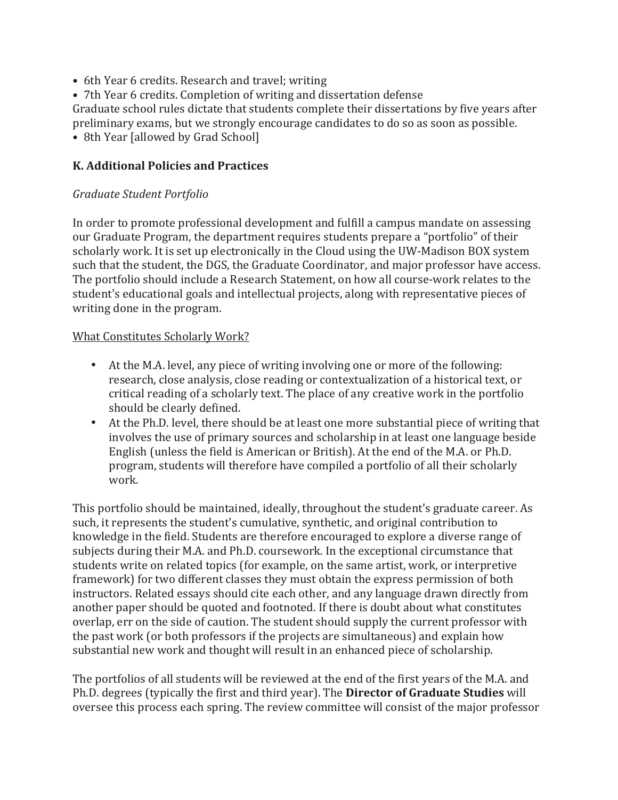- 6th Year 6 credits. Research and travel; writing
- 7th Year 6 credits. Completion of writing and dissertation defense

Graduate school rules dictate that students complete their dissertations by five years after preliminary exams, but we strongly encourage candidates to do so as soon as possible.

• 8th Year [allowed by Grad School]

### **K. Additional Policies and Practices**

### *Graduate Student Portfolio*

In order to promote professional development and fulfill a campus mandate on assessing our Graduate Program, the department requires students prepare a "portfolio" of their scholarly work. It is set up electronically in the Cloud using the UW-Madison BOX system such that the student, the DGS, the Graduate Coordinator, and major professor have access. The portfolio should include a Research Statement, on how all course-work relates to the student's educational goals and intellectual projects, along with representative pieces of writing done in the program.

### What Constitutes Scholarly Work?

- At the M.A. level, any piece of writing involving one or more of the following: research, close analysis, close reading or contextualization of a historical text, or critical reading of a scholarly text. The place of any creative work in the portfolio should be clearly defined.
- At the Ph.D. level, there should be at least one more substantial piece of writing that involves the use of primary sources and scholarship in at least one language beside English (unless the field is American or British). At the end of the M.A. or Ph.D. program, students will therefore have compiled a portfolio of all their scholarly work.

This portfolio should be maintained, ideally, throughout the student's graduate career. As such, it represents the student's cumulative, synthetic, and original contribution to knowledge in the field. Students are therefore encouraged to explore a diverse range of subjects during their M.A. and Ph.D. coursework. In the exceptional circumstance that students write on related topics (for example, on the same artist, work, or interpretive framework) for two different classes they must obtain the express permission of both instructors. Related essays should cite each other, and any language drawn directly from another paper should be quoted and footnoted. If there is doubt about what constitutes overlap, err on the side of caution. The student should supply the current professor with the past work (or both professors if the projects are simultaneous) and explain how substantial new work and thought will result in an enhanced piece of scholarship.

The portfolios of all students will be reviewed at the end of the first years of the M.A. and Ph.D. degrees (typically the first and third year). The **Director of Graduate Studies** will oversee this process each spring. The review committee will consist of the major professor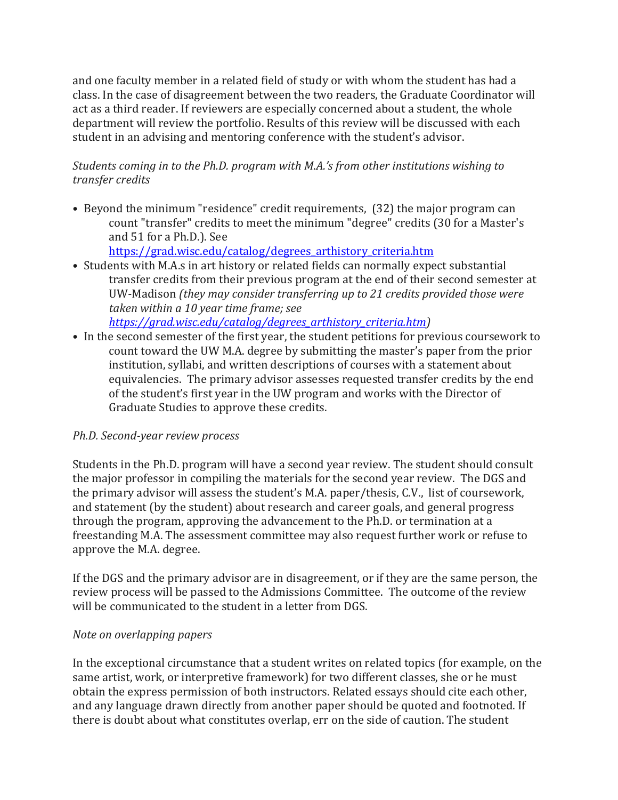and one faculty member in a related field of study or with whom the student has had a class. In the case of disagreement between the two readers, the Graduate Coordinator will act as a third reader. If reviewers are especially concerned about a student, the whole department will review the portfolio. Results of this review will be discussed with each student in an advising and mentoring conference with the student's advisor.

# *Students coming in to the Ph.D. program with M.A.'s from other institutions wishing to transfer credits*

• Beyond the minimum "residence" credit requirements, (32) the major program can count "transfer" credits to meet the minimum "degree" credits (30 for a Master's and 51 for a Ph.D.). See

https://grad.wisc.edu/catalog/degrees\_arthistory\_criteria.htm

- Students with M.A.s in art history or related fields can normally expect substantial transfer credits from their previous program at the end of their second semester at UW-Madison *(they may consider transferring up to 21 credits provided those were* taken within a 10 year time frame; see *https://grad.wisc.edu/catalog/degrees\_arthistory\_criteria.htm)*
- In the second semester of the first year, the student petitions for previous coursework to count toward the UW M.A. degree by submitting the master's paper from the prior institution, syllabi, and written descriptions of courses with a statement about equivalencies. The primary advisor assesses requested transfer credits by the end of the student's first year in the UW program and works with the Director of Graduate Studies to approve these credits.

# *Ph.D. Second-year review process*

Students in the Ph.D. program will have a second year review. The student should consult the major professor in compiling the materials for the second year review. The DGS and the primary advisor will assess the student's M.A. paper/thesis, C.V., list of coursework, and statement (by the student) about research and career goals, and general progress through the program, approving the advancement to the Ph.D. or termination at a freestanding M.A. The assessment committee may also request further work or refuse to approve the M.A. degree.

If the DGS and the primary advisor are in disagreement, or if they are the same person, the review process will be passed to the Admissions Committee. The outcome of the review will be communicated to the student in a letter from DGS.

# *Note on overlapping papers*

In the exceptional circumstance that a student writes on related topics (for example, on the same artist, work, or interpretive framework) for two different classes, she or he must obtain the express permission of both instructors. Related essays should cite each other, and any language drawn directly from another paper should be quoted and footnoted. If there is doubt about what constitutes overlap, err on the side of caution. The student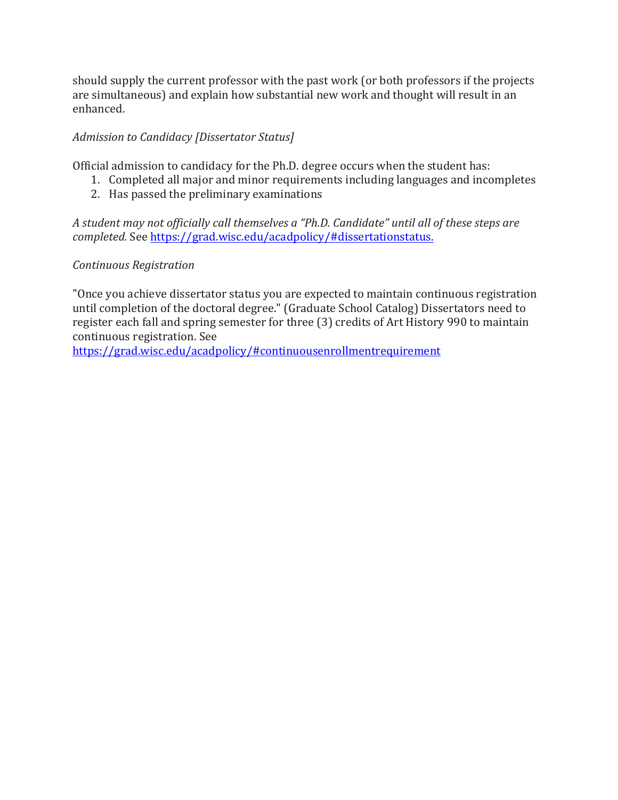should supply the current professor with the past work (or both professors if the projects are simultaneous) and explain how substantial new work and thought will result in an enhanced.

# Admission to Candidacy [Dissertator Status]

Official admission to candidacy for the Ph.D. degree occurs when the student has:

- 1. Completed all major and minor requirements including languages and incompletes
	- 2. Has passed the preliminary examinations

A student may not officially call themselves a "Ph.D. Candidate" until all of these steps are *completed.* See https://grad.wisc.edu/acadpolicy/#dissertationstatus.

### *Continuous Registration*

"Once you achieve dissertator status you are expected to maintain continuous registration until completion of the doctoral degree." (Graduate School Catalog) Dissertators need to register each fall and spring semester for three (3) credits of Art History 990 to maintain continuous registration. See

https://grad.wisc.edu/acadpolicy/#continuousenrollmentrequirement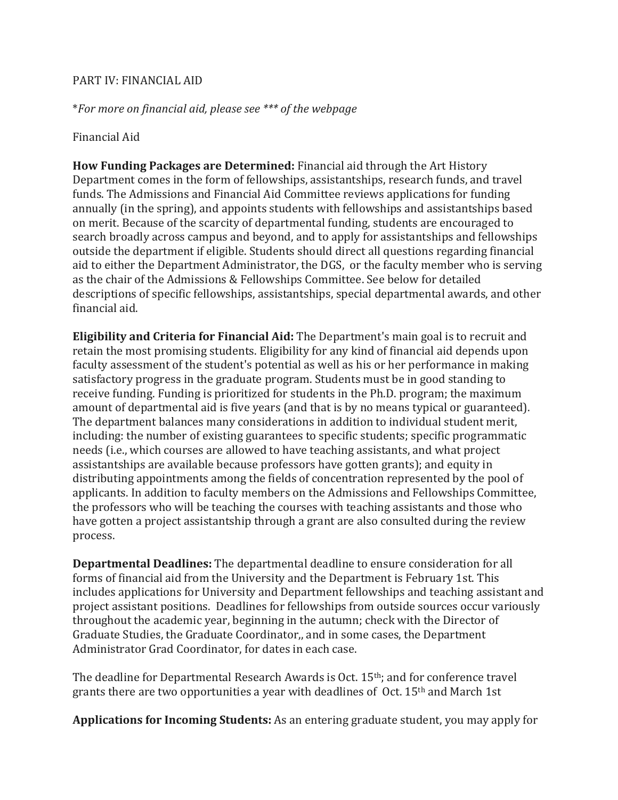#### PART IV: FINANCIAL AID

\**For more on financial aid, please see \*\*\* of the webpage*

#### Financial Aid

**How Funding Packages are Determined:** Financial aid through the Art History Department comes in the form of fellowships, assistantships, research funds, and travel funds. The Admissions and Financial Aid Committee reviews applications for funding annually (in the spring), and appoints students with fellowships and assistantships based on merit. Because of the scarcity of departmental funding, students are encouraged to search broadly across campus and beyond, and to apply for assistantships and fellowships outside the department if eligible. Students should direct all questions regarding financial aid to either the Department Administrator, the DGS, or the faculty member who is serving as the chair of the Admissions & Fellowships Committee. See below for detailed descriptions of specific fellowships, assistantships, special departmental awards, and other financial aid.

**Eligibility and Criteria for Financial Aid:** The Department's main goal is to recruit and retain the most promising students. Eligibility for any kind of financial aid depends upon faculty assessment of the student's potential as well as his or her performance in making satisfactory progress in the graduate program. Students must be in good standing to receive funding. Funding is prioritized for students in the Ph.D. program; the maximum amount of departmental aid is five years (and that is by no means typical or guaranteed). The department balances many considerations in addition to individual student merit, including: the number of existing guarantees to specific students; specific programmatic needs (i.e., which courses are allowed to have teaching assistants, and what project assistantships are available because professors have gotten grants); and equity in distributing appointments among the fields of concentration represented by the pool of applicants. In addition to faculty members on the Admissions and Fellowships Committee, the professors who will be teaching the courses with teaching assistants and those who have gotten a project assistantship through a grant are also consulted during the review process.

**Departmental Deadlines:** The departmental deadline to ensure consideration for all forms of financial aid from the University and the Department is February 1st. This includes applications for University and Department fellowships and teaching assistant and project assistant positions. Deadlines for fellowships from outside sources occur variously throughout the academic year, beginning in the autumn; check with the Director of Graduate Studies, the Graduate Coordinator,, and in some cases, the Department Administrator Grad Coordinator, for dates in each case.

The deadline for Departmental Research Awards is Oct. 15<sup>th</sup>; and for conference travel grants there are two opportunities a year with deadlines of  $Oct. 15<sup>th</sup>$  and March 1st

**Applications for Incoming Students:** As an entering graduate student, you may apply for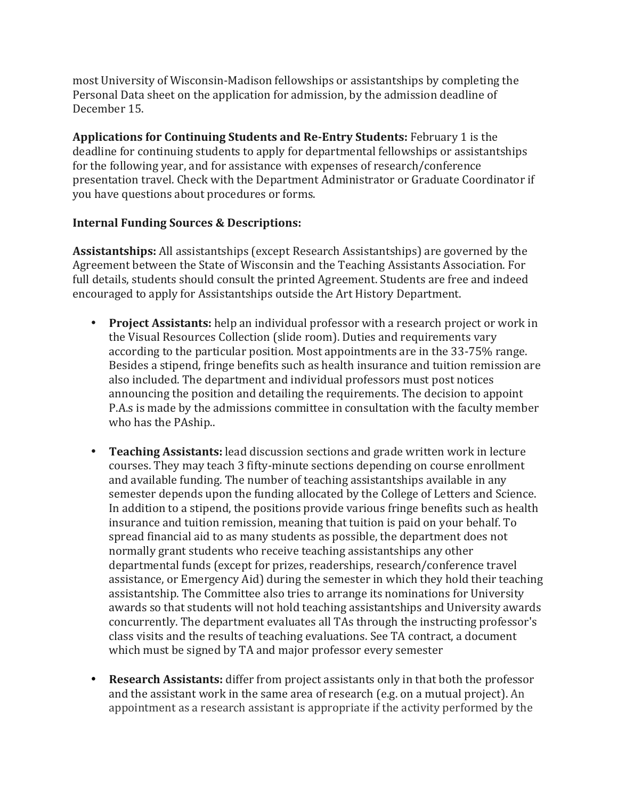most University of Wisconsin-Madison fellowships or assistantships by completing the Personal Data sheet on the application for admission, by the admission deadline of December 15.

**Applications for Continuing Students and Re-Entry Students: February 1 is the** deadline for continuing students to apply for departmental fellowships or assistantships for the following year, and for assistance with expenses of research/conference presentation travel. Check with the Department Administrator or Graduate Coordinator if you have questions about procedures or forms.

#### **Internal Funding Sources & Descriptions:**

Assistantships: All assistantships (except Research Assistantships) are governed by the Agreement between the State of Wisconsin and the Teaching Assistants Association. For full details, students should consult the printed Agreement. Students are free and indeed encouraged to apply for Assistantships outside the Art History Department.

- **Project Assistants:** help an individual professor with a research project or work in the Visual Resources Collection (slide room). Duties and requirements vary according to the particular position. Most appointments are in the 33-75% range. Besides a stipend, fringe benefits such as health insurance and tuition remission are also included. The department and individual professors must post notices announcing the position and detailing the requirements. The decision to appoint P.A.s is made by the admissions committee in consultation with the faculty member who has the PAship..
- **Teaching Assistants:** lead discussion sections and grade written work in lecture courses. They may teach 3 fifty-minute sections depending on course enrollment and available funding. The number of teaching assistantships available in any semester depends upon the funding allocated by the College of Letters and Science. In addition to a stipend, the positions provide various fringe benefits such as health insurance and tuition remission, meaning that tuition is paid on your behalf. To spread financial aid to as many students as possible, the department does not normally grant students who receive teaching assistantships any other departmental funds (except for prizes, readerships, research/conference travel assistance, or Emergency Aid) during the semester in which they hold their teaching assistantship. The Committee also tries to arrange its nominations for University awards so that students will not hold teaching assistantships and University awards concurrently. The department evaluates all TAs through the instructing professor's class visits and the results of teaching evaluations. See TA contract, a document which must be signed by TA and major professor every semester
- **Research Assistants:** differ from project assistants only in that both the professor and the assistant work in the same area of research (e.g. on a mutual project). An appointment as a research assistant is appropriate if the activity performed by the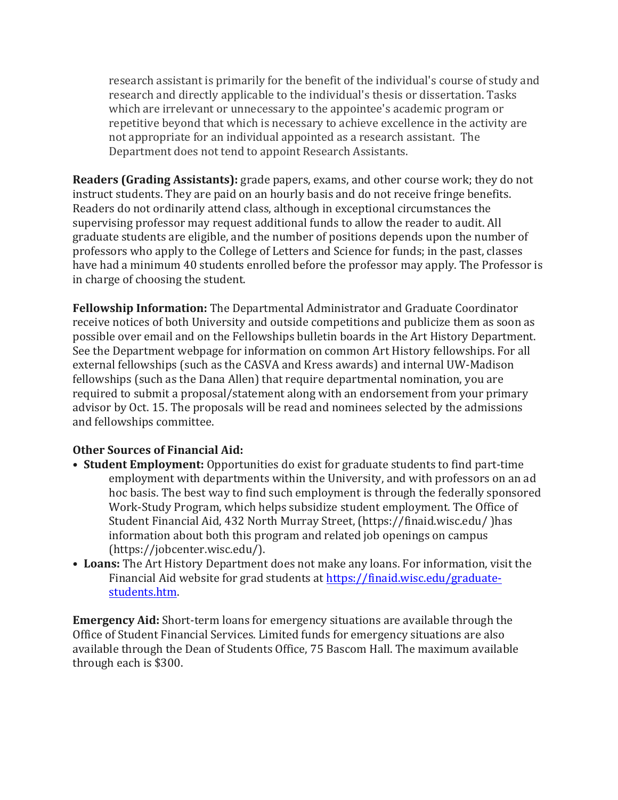research assistant is primarily for the benefit of the individual's course of study and research and directly applicable to the individual's thesis or dissertation. Tasks which are irrelevant or unnecessary to the appointee's academic program or repetitive beyond that which is necessary to achieve excellence in the activity are not appropriate for an individual appointed as a research assistant. The Department does not tend to appoint Research Assistants.

**Readers (Grading Assistants):** grade papers, exams, and other course work; they do not instruct students. They are paid on an hourly basis and do not receive fringe benefits. Readers do not ordinarily attend class, although in exceptional circumstances the supervising professor may request additional funds to allow the reader to audit. All graduate students are eligible, and the number of positions depends upon the number of professors who apply to the College of Letters and Science for funds; in the past, classes have had a minimum 40 students enrolled before the professor may apply. The Professor is in charge of choosing the student.

**Fellowship Information:** The Departmental Administrator and Graduate Coordinator receive notices of both University and outside competitions and publicize them as soon as possible over email and on the Fellowships bulletin boards in the Art History Department. See the Department webpage for information on common Art History fellowships. For all external fellowships (such as the CASVA and Kress awards) and internal UW-Madison fellowships (such as the Dana Allen) that require departmental nomination, you are required to submit a proposal/statement along with an endorsement from your primary advisor by Oct. 15. The proposals will be read and nominees selected by the admissions and fellowships committee.

#### **Other Sources of Financial Aid:**

- **Student Employment:** Opportunities do exist for graduate students to find part-time employment with departments within the University, and with professors on an ad hoc basis. The best way to find such employment is through the federally sponsored Work-Study Program, which helps subsidize student employment. The Office of Student Financial Aid, 432 North Murray Street, (https://finaid.wisc.edu/) has information about both this program and related job openings on campus (https://jobcenter.wisc.edu/).
- Loans: The Art History Department does not make any loans. For information, visit the Financial Aid website for grad students at https://finaid.wisc.edu/graduatestudents.htm.

**Emergency Aid:** Short-term loans for emergency situations are available through the Office of Student Financial Services. Limited funds for emergency situations are also available through the Dean of Students Office, 75 Bascom Hall. The maximum available through each is \$300.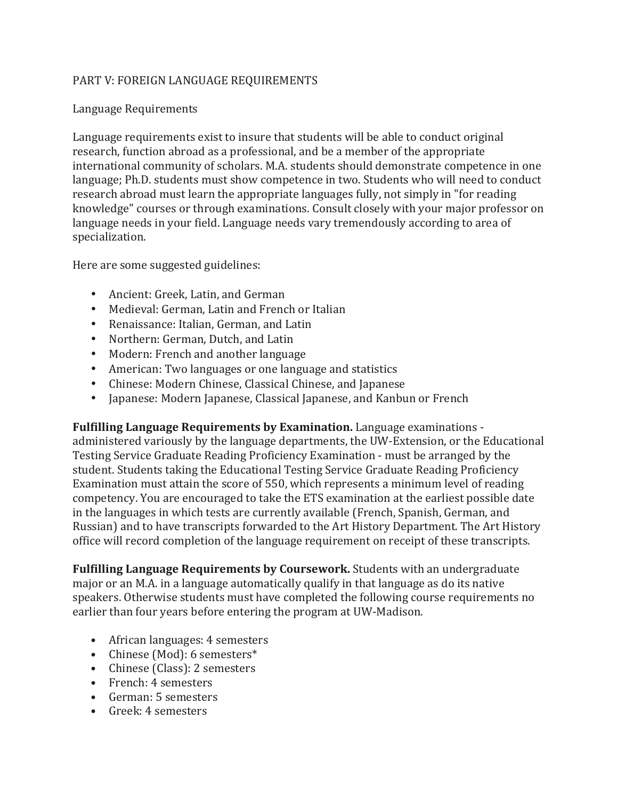# PART V: FOREIGN LANGUAGE REQUIREMENTS

#### Language Requirements

Language requirements exist to insure that students will be able to conduct original research, function abroad as a professional, and be a member of the appropriate international community of scholars. M.A. students should demonstrate competence in one language; Ph.D. students must show competence in two. Students who will need to conduct research abroad must learn the appropriate languages fully, not simply in "for reading knowledge" courses or through examinations. Consult closely with your major professor on language needs in your field. Language needs vary tremendously according to area of specialization. 

Here are some suggested guidelines:

- Ancient: Greek, Latin, and German
- Medieval: German, Latin and French or Italian
- Renaissance: Italian, German, and Latin
- Northern: German, Dutch, and Latin
- Modern: French and another language
- American: Two languages or one language and statistics
- Chinese: Modern Chinese, Classical Chinese, and Japanese
- Japanese: Modern Japanese, Classical Japanese, and Kanbun or French

**Fulfilling Language Requirements by Examination.** Language examinations administered variously by the language departments, the UW-Extension, or the Educational Testing Service Graduate Reading Proficiency Examination - must be arranged by the student. Students taking the Educational Testing Service Graduate Reading Proficiency Examination must attain the score of 550, which represents a minimum level of reading competency. You are encouraged to take the ETS examination at the earliest possible date in the languages in which tests are currently available (French, Spanish, German, and Russian) and to have transcripts forwarded to the Art History Department. The Art History office will record completion of the language requirement on receipt of these transcripts.

**Fulfilling Language Requirements by Coursework.** Students with an undergraduate major or an M.A. in a language automatically qualify in that language as do its native speakers. Otherwise students must have completed the following course requirements no earlier than four years before entering the program at UW-Madison.

- African languages: 4 semesters
- Chinese (Mod): 6 semesters\*
- Chinese (Class): 2 semesters
- French: 4 semesters
- German: 5 semesters
- Greek: 4 semesters